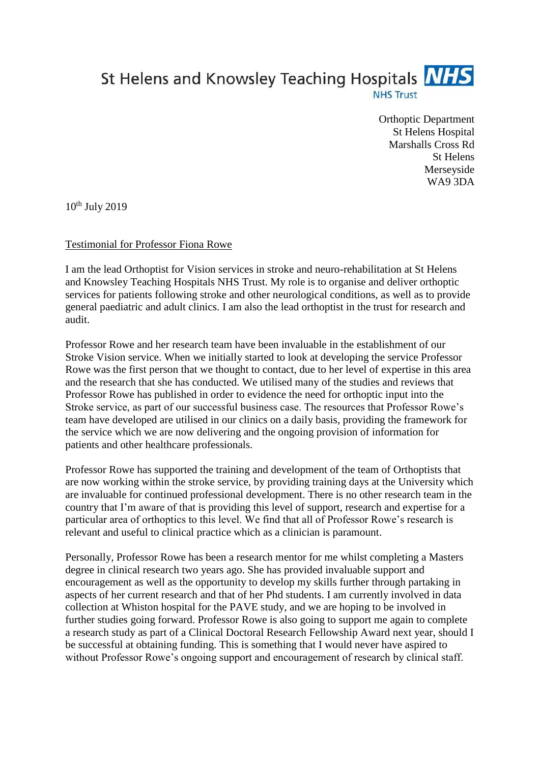

Orthoptic Department St Helens Hospital Marshalls Cross Rd St Helens Merseyside WA9 3DA

 $10^{th}$  July 2019

## Testimonial for Professor Fiona Rowe

I am the lead Orthoptist for Vision services in stroke and neuro-rehabilitation at St Helens and Knowsley Teaching Hospitals NHS Trust. My role is to organise and deliver orthoptic services for patients following stroke and other neurological conditions, as well as to provide general paediatric and adult clinics. I am also the lead orthoptist in the trust for research and audit.

Professor Rowe and her research team have been invaluable in the establishment of our Stroke Vision service. When we initially started to look at developing the service Professor Rowe was the first person that we thought to contact, due to her level of expertise in this area and the research that she has conducted. We utilised many of the studies and reviews that Professor Rowe has published in order to evidence the need for orthoptic input into the Stroke service, as part of our successful business case. The resources that Professor Rowe's team have developed are utilised in our clinics on a daily basis, providing the framework for the service which we are now delivering and the ongoing provision of information for patients and other healthcare professionals.

Professor Rowe has supported the training and development of the team of Orthoptists that are now working within the stroke service, by providing training days at the University which are invaluable for continued professional development. There is no other research team in the country that I'm aware of that is providing this level of support, research and expertise for a particular area of orthoptics to this level. We find that all of Professor Rowe's research is relevant and useful to clinical practice which as a clinician is paramount.

Personally, Professor Rowe has been a research mentor for me whilst completing a Masters degree in clinical research two years ago. She has provided invaluable support and encouragement as well as the opportunity to develop my skills further through partaking in aspects of her current research and that of her Phd students. I am currently involved in data collection at Whiston hospital for the PAVE study, and we are hoping to be involved in further studies going forward. Professor Rowe is also going to support me again to complete a research study as part of a Clinical Doctoral Research Fellowship Award next year, should I be successful at obtaining funding. This is something that I would never have aspired to without Professor Rowe's ongoing support and encouragement of research by clinical staff.